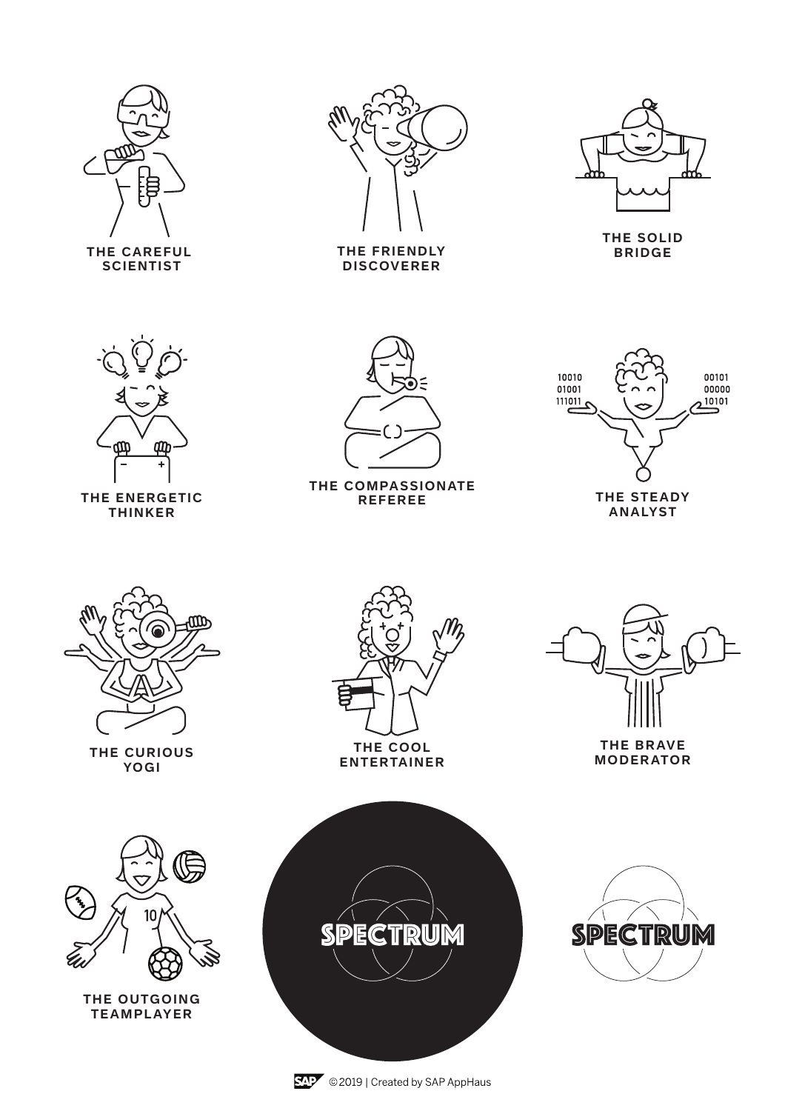

**THE CAREFUL SCIENTIST**



**THE FRIENDLY DISCOVERER**



**THE SOLID BRIDGE**



**THE ENERGETIC THINKER**



**THE COMPASSIONATE REFEREE**



**ANALYST**



**THE CURIOUS YOGI**



**ENTERTAINER**



**THE BRAVE MODERATOR**



**THE OUTGOING TEAMPLAYER**